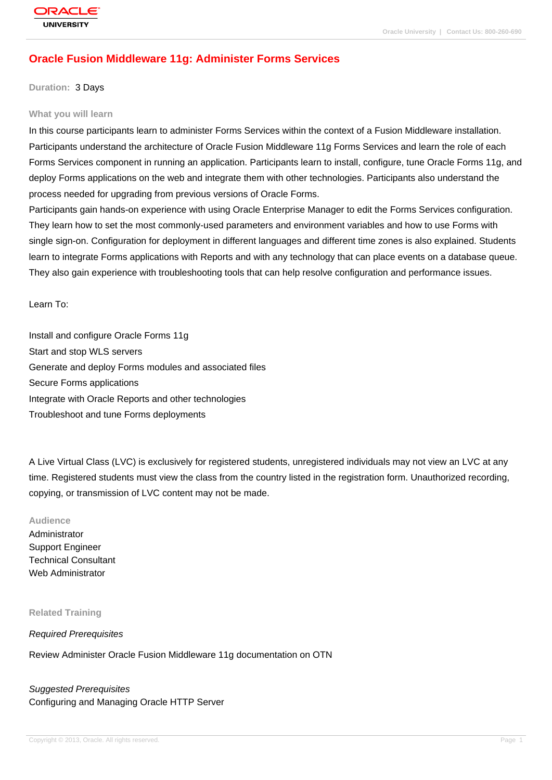# **[Oracle Fusion](http://education.oracle.com/pls/web_prod-plq-dad/db_pages.getpage?page_id=3) Middleware 11g: Administer Forms Services**

#### **Duration:** 3 Days

#### **What you will learn**

In this course participants learn to administer Forms Services within the context of a Fusion Middleware installation. Participants understand the architecture of Oracle Fusion Middleware 11g Forms Services and learn the role of each Forms Services component in running an application. Participants learn to install, configure, tune Oracle Forms 11g, and deploy Forms applications on the web and integrate them with other technologies. Participants also understand the process needed for upgrading from previous versions of Oracle Forms.

Participants gain hands-on experience with using Oracle Enterprise Manager to edit the Forms Services configuration. They learn how to set the most commonly-used parameters and environment variables and how to use Forms with single sign-on. Configuration for deployment in different languages and different time zones is also explained. Students learn to integrate Forms applications with Reports and with any technology that can place events on a database queue. They also gain experience with troubleshooting tools that can help resolve configuration and performance issues.

Learn To:

Install and configure Oracle Forms 11g Start and stop WLS servers Generate and deploy Forms modules and associated files Secure Forms applications Integrate with Oracle Reports and other technologies Troubleshoot and tune Forms deployments

A Live Virtual Class (LVC) is exclusively for registered students, unregistered individuals may not view an LVC at any time. Registered students must view the class from the country listed in the registration form. Unauthorized recording, copying, or transmission of LVC content may not be made.

#### **Audience**

Administrator Support Engineer Technical Consultant Web Administrator

#### **Related Training**

Required Prerequisites

Review Administer Oracle Fusion Middleware 11g documentation on OTN

Suggested Prerequisites Configuring and Managing Oracle HTTP Server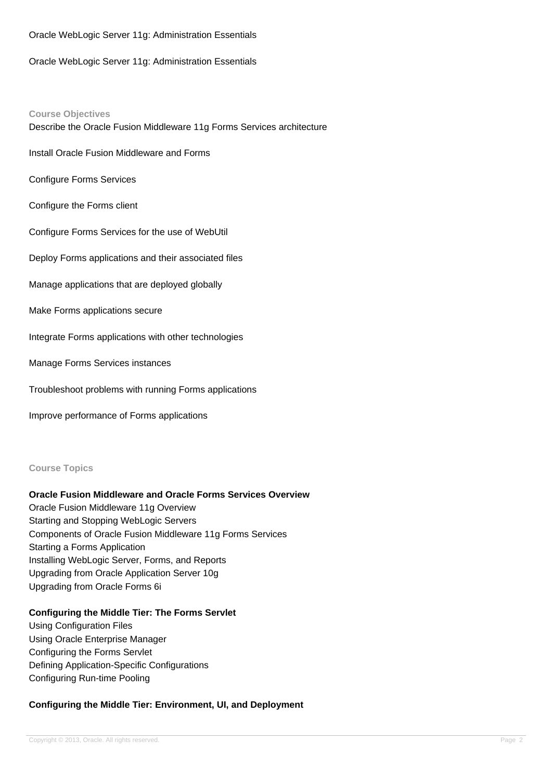#### Oracle WebLogic Server 11g: Administration Essentials

Oracle WebLogic Server 11g: Administration Essentials

#### **Course Objectives**

Describe the Oracle Fusion Middleware 11g Forms Services architecture

Install Oracle Fusion Middleware and Forms

Configure Forms Services

Configure the Forms client

Configure Forms Services for the use of WebUtil

Deploy Forms applications and their associated files

Manage applications that are deployed globally

Make Forms applications secure

Integrate Forms applications with other technologies

Manage Forms Services instances

Troubleshoot problems with running Forms applications

Improve performance of Forms applications

**Course Topics**

#### **Oracle Fusion Middleware and Oracle Forms Services Overview**

Oracle Fusion Middleware 11g Overview Starting and Stopping WebLogic Servers Components of Oracle Fusion Middleware 11g Forms Services Starting a Forms Application Installing WebLogic Server, Forms, and Reports Upgrading from Oracle Application Server 10g Upgrading from Oracle Forms 6i

### **Configuring the Middle Tier: The Forms Servlet**

Using Configuration Files Using Oracle Enterprise Manager Configuring the Forms Servlet Defining Application-Specific Configurations Configuring Run-time Pooling

### **Configuring the Middle Tier: Environment, UI, and Deployment**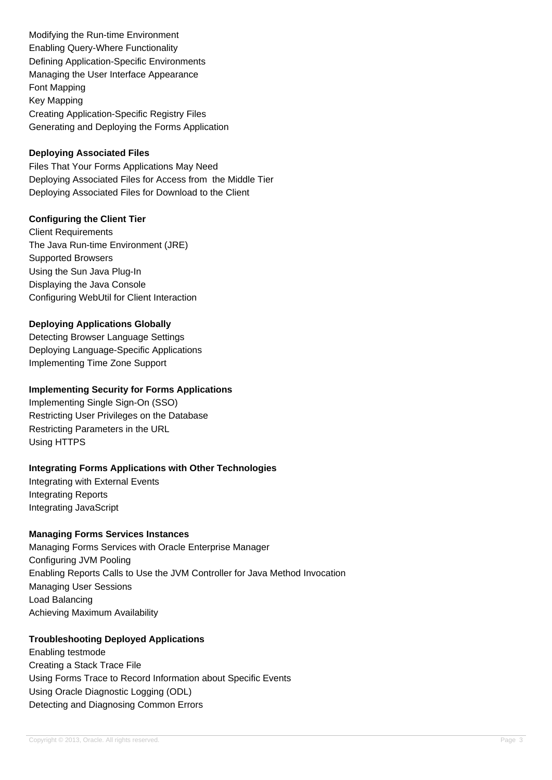Modifying the Run-time Environment Enabling Query-Where Functionality Defining Application-Specific Environments Managing the User Interface Appearance Font Mapping Key Mapping Creating Application-Specific Registry Files Generating and Deploying the Forms Application

## **Deploying Associated Files**

Files That Your Forms Applications May Need Deploying Associated Files for Access from the Middle Tier Deploying Associated Files for Download to the Client

## **Configuring the Client Tier**

Client Requirements The Java Run-time Environment (JRE) Supported Browsers Using the Sun Java Plug-In Displaying the Java Console Configuring WebUtil for Client Interaction

## **Deploying Applications Globally**

Detecting Browser Language Settings Deploying Language-Specific Applications Implementing Time Zone Support

### **Implementing Security for Forms Applications**

Implementing Single Sign-On (SSO) Restricting User Privileges on the Database Restricting Parameters in the URL Using HTTPS

## **Integrating Forms Applications with Other Technologies**

Integrating with External Events Integrating Reports Integrating JavaScript

# **Managing Forms Services Instances**

Managing Forms Services with Oracle Enterprise Manager Configuring JVM Pooling Enabling Reports Calls to Use the JVM Controller for Java Method Invocation Managing User Sessions Load Balancing Achieving Maximum Availability

## **Troubleshooting Deployed Applications**

Enabling testmode Creating a Stack Trace File Using Forms Trace to Record Information about Specific Events Using Oracle Diagnostic Logging (ODL) Detecting and Diagnosing Common Errors